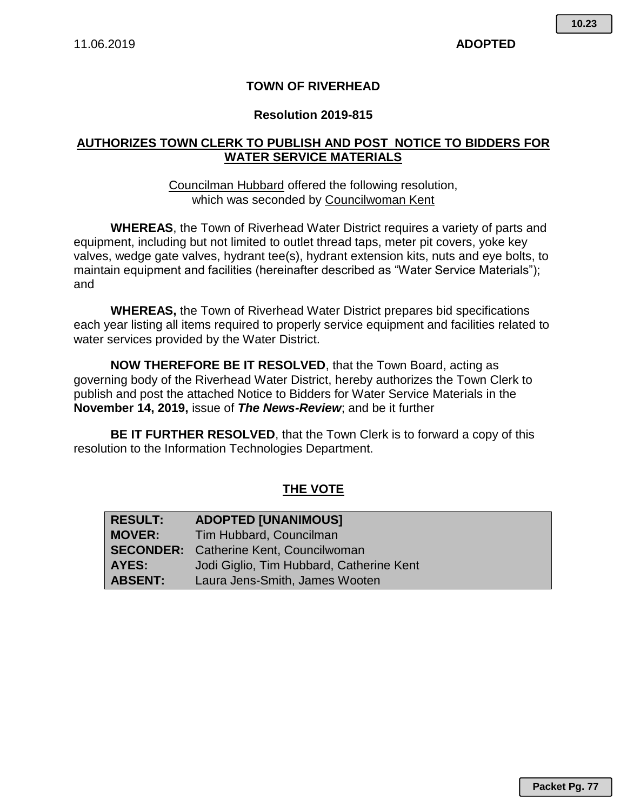### **TOWN OF RIVERHEAD**

#### **Resolution 2019-815**

### **AUTHORIZES TOWN CLERK TO PUBLISH AND POST NOTICE TO BIDDERS FOR WATER SERVICE MATERIALS**

Councilman Hubbard offered the following resolution, which was seconded by Councilwoman Kent

**WHEREAS**, the Town of Riverhead Water District requires a variety of parts and equipment, including but not limited to outlet thread taps, meter pit covers, yoke key valves, wedge gate valves, hydrant tee(s), hydrant extension kits, nuts and eye bolts, to maintain equipment and facilities (hereinafter described as "Water Service Materials"); and

**WHEREAS,** the Town of Riverhead Water District prepares bid specifications each year listing all items required to properly service equipment and facilities related to water services provided by the Water District.

**NOW THEREFORE BE IT RESOLVED**, that the Town Board, acting as governing body of the Riverhead Water District, hereby authorizes the Town Clerk to publish and post the attached Notice to Bidders for Water Service Materials in the **November 14, 2019,** issue of *The News-Review*; and be it further

**BE IT FURTHER RESOLVED**, that the Town Clerk is to forward a copy of this resolution to the Information Technologies Department.

## **THE VOTE**

| <b>RESULT:</b> | <b>ADOPTED [UNANIMOUS]</b>                    |
|----------------|-----------------------------------------------|
| <b>MOVER:</b>  | Tim Hubbard, Councilman                       |
|                | <b>SECONDER:</b> Catherine Kent, Councilwoman |
| AYES:          | Jodi Giglio, Tim Hubbard, Catherine Kent      |
| <b>ABSENT:</b> | Laura Jens-Smith, James Wooten                |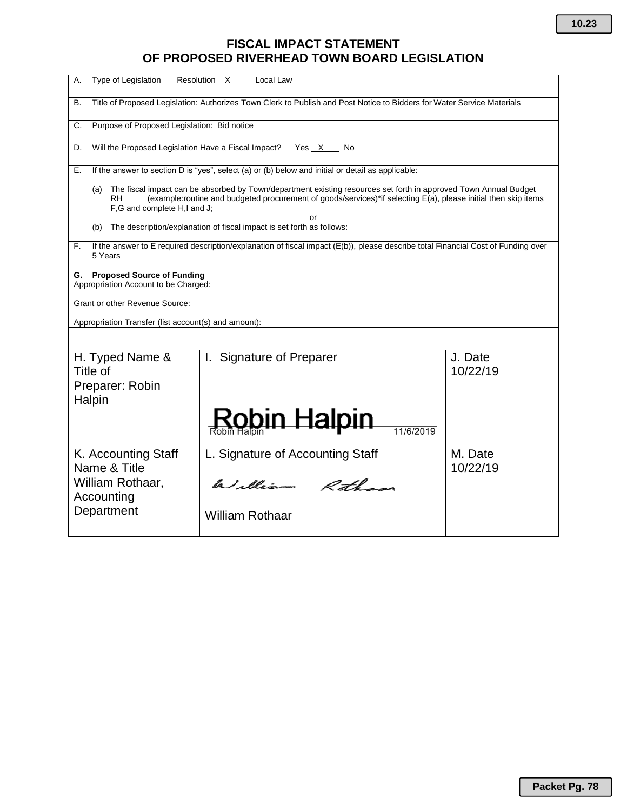# **FISCAL IMPACT STATEMENT OF PROPOSED RIVERHEAD TOWN BOARD LEGISLATION**

| Type of Legislation<br>Resolution X<br>А.<br>Local Law                                                                                                                                                                                                                         |                                  |                     |  |
|--------------------------------------------------------------------------------------------------------------------------------------------------------------------------------------------------------------------------------------------------------------------------------|----------------------------------|---------------------|--|
| Title of Proposed Legislation: Authorizes Town Clerk to Publish and Post Notice to Bidders for Water Service Materials<br>В.                                                                                                                                                   |                                  |                     |  |
| Purpose of Proposed Legislation: Bid notice<br>C.                                                                                                                                                                                                                              |                                  |                     |  |
| Will the Proposed Legislation Have a Fiscal Impact?<br>Yes X<br>D.<br>No                                                                                                                                                                                                       |                                  |                     |  |
| If the answer to section D is "yes", select (a) or (b) below and initial or detail as applicable:<br>Е.                                                                                                                                                                        |                                  |                     |  |
| The fiscal impact can be absorbed by Town/department existing resources set forth in approved Town Annual Budget<br>(a)<br>(example:routine and budgeted procurement of goods/services)*if selecting E(a), please initial then skip items<br>RH<br>F,G and complete H,I and J; |                                  |                     |  |
| or<br>The description/explanation of fiscal impact is set forth as follows:<br>(b)                                                                                                                                                                                             |                                  |                     |  |
| If the answer to E required description/explanation of fiscal impact (E(b)), please describe total Financial Cost of Funding over<br>F.<br>5 Years                                                                                                                             |                                  |                     |  |
| G. Proposed Source of Funding<br>Appropriation Account to be Charged:<br>Grant or other Revenue Source:<br>Appropriation Transfer (list account(s) and amount):                                                                                                                |                                  |                     |  |
|                                                                                                                                                                                                                                                                                |                                  |                     |  |
| H. Typed Name &<br>Title of<br>Preparer: Robin<br>Halpin                                                                                                                                                                                                                       | I. Signature of Preparer         | J. Date<br>10/22/19 |  |
|                                                                                                                                                                                                                                                                                |                                  |                     |  |
| K. Accounting Staff<br>Name & Title                                                                                                                                                                                                                                            | L. Signature of Accounting Staff | M. Date<br>10/22/19 |  |
| William Rothaar,<br>Accounting                                                                                                                                                                                                                                                 | William Rothans                  |                     |  |
| Department                                                                                                                                                                                                                                                                     | <b>William Rothaar</b>           |                     |  |